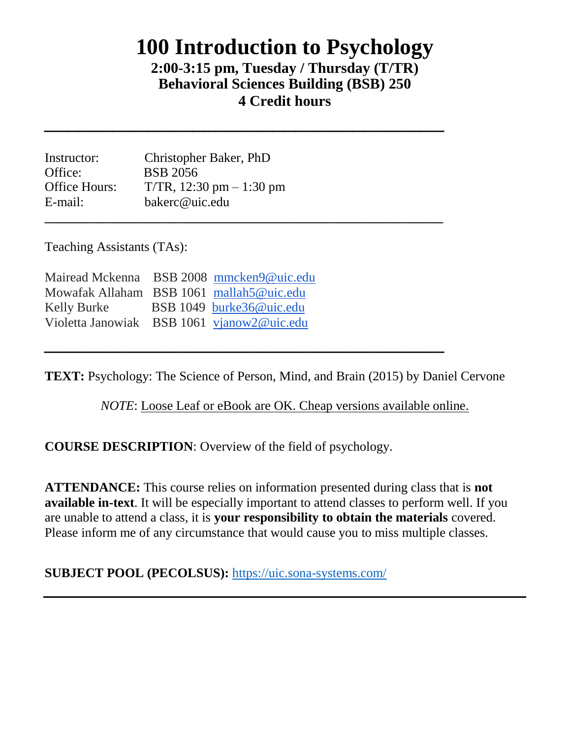# **100 Introduction to Psychology**

## **2:00-3:15 pm, Tuesday / Thursday (T/TR) Behavioral Sciences Building (BSB) 250 4 Credit hours**

 $\frac{1}{2}$  ,  $\frac{1}{2}$  ,  $\frac{1}{2}$  ,  $\frac{1}{2}$  ,  $\frac{1}{2}$  ,  $\frac{1}{2}$  ,  $\frac{1}{2}$  ,  $\frac{1}{2}$  ,  $\frac{1}{2}$  ,  $\frac{1}{2}$  ,  $\frac{1}{2}$  ,  $\frac{1}{2}$  ,  $\frac{1}{2}$  ,  $\frac{1}{2}$  ,  $\frac{1}{2}$  ,  $\frac{1}{2}$  ,  $\frac{1}{2}$  ,  $\frac{1}{2}$  ,  $\frac{1$ 

| Instructor:   | Christopher Baker, PhD        |
|---------------|-------------------------------|
| Office:       | <b>BSB</b> 2056               |
| Office Hours: | $T/TR$ , 12:30 pm $- 1:30$ pm |
| E-mail:       | bakerc@uic.edu                |
|               |                               |

Teaching Assistants (TAs):

|                                            | Mairead Mckenna BSB 2008 mmcken9@uic.edu |
|--------------------------------------------|------------------------------------------|
| Mowafak Allaham BSB 1061 mallah5@uic.edu   |                                          |
| Kelly Burke                                | BSB 1049 burke36@uic.edu                 |
| Violetta Janowiak BSB 1061 vjanow2@uic.edu |                                          |

**TEXT:** Psychology: The Science of Person, Mind, and Brain (2015) by Daniel Cervone

 $\frac{1}{2}$  ,  $\frac{1}{2}$  ,  $\frac{1}{2}$  ,  $\frac{1}{2}$  ,  $\frac{1}{2}$  ,  $\frac{1}{2}$  ,  $\frac{1}{2}$  ,  $\frac{1}{2}$  ,  $\frac{1}{2}$  ,  $\frac{1}{2}$  ,  $\frac{1}{2}$  ,  $\frac{1}{2}$  ,  $\frac{1}{2}$  ,  $\frac{1}{2}$  ,  $\frac{1}{2}$  ,  $\frac{1}{2}$  ,  $\frac{1}{2}$  ,  $\frac{1}{2}$  ,  $\frac{1$ 

*NOTE*: Loose Leaf or eBook are OK. Cheap versions available online.

**COURSE DESCRIPTION**: Overview of the field of psychology.

**ATTENDANCE:** This course relies on information presented during class that is **not available in-text**. It will be especially important to attend classes to perform well. If you are unable to attend a class, it is **your responsibility to obtain the materials** covered. Please inform me of any circumstance that would cause you to miss multiple classes.

**SUBJECT POOL (PECOLSUS):** <https://uic.sona-systems.com/>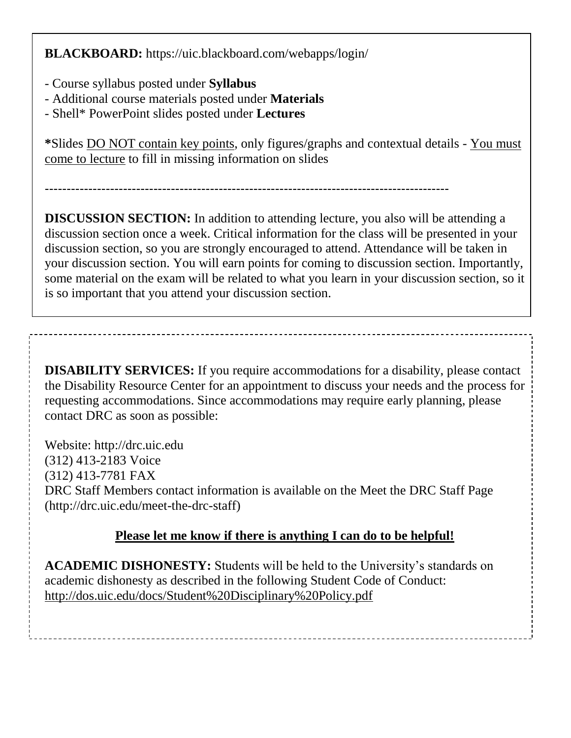**BLACKBOARD:** https://uic.blackboard.com/webapps/login/

- Course syllabus posted under **Syllabus**
- Additional course materials posted under **Materials**
- Shell\* PowerPoint slides posted under **Lectures**

**\***Slides DO NOT contain key points, only figures/graphs and contextual details - You must come to lecture to fill in missing information on slides

---------------------------------------------------------------------------------------------

**DISCUSSION SECTION:** In addition to attending lecture, you also will be attending a discussion section once a week. Critical information for the class will be presented in your discussion section, so you are strongly encouraged to attend. Attendance will be taken in your discussion section. You will earn points for coming to discussion section. Importantly, some material on the exam will be related to what you learn in your discussion section, so it is so important that you attend your discussion section.

**DISABILITY SERVICES:** If you require accommodations for a disability, please contact the Disability Resource Center for an appointment to discuss your needs and the process for requesting accommodations. Since accommodations may require early planning, please contact DRC as soon as possible:

Website: http://drc.uic.edu (312) 413-2183 Voice (312) 413-7781 FAX DRC Staff Members contact information is available on the Meet the DRC Staff Page (http://drc.uic.edu/meet-the-drc-staff)

### **Please let me know if there is anything I can do to be helpful!**

**ACADEMIC DISHONESTY:** Students will be held to the University's standards on academic dishonesty as described in the following Student Code of Conduct: http://dos.uic.edu/docs/Student%20Disciplinary%20Policy.pdf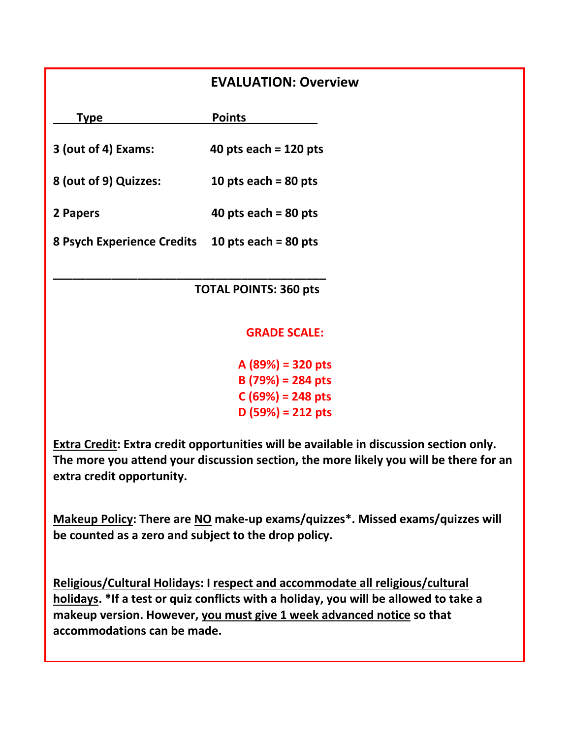#### **EVALUATION: Overview**

| <b>Type</b>                       | <b>Points</b>           |  |
|-----------------------------------|-------------------------|--|
| 3 (out of 4) Exams:               | 40 pts each = $120$ pts |  |
| 8 (out of 9) Quizzes:             | 10 pts each = $80$ pts  |  |
| 2 Papers                          | 40 pts each = $80$ pts  |  |
| <b>8 Psych Experience Credits</b> | 10 pts each = $80$ pts  |  |

**\_\_\_\_\_\_\_\_\_\_\_\_\_\_\_\_\_\_\_\_\_\_\_\_\_\_\_\_\_\_\_\_\_\_\_\_\_\_\_\_\_\_**

 **TOTAL POINTS: 360 pts** 

#### **GRADE SCALE:**

**A (89%) = 320 pts B (79%) = 284 pts C (69%) = 248 pts D (59%) = 212 pts**

**Extra Credit: Extra credit opportunities will be available in discussion section only. The more you attend your discussion section, the more likely you will be there for an extra credit opportunity.**

**Makeup Policy: There are NO make-up exams/quizzes\*. Missed exams/quizzes will be counted as a zero and subject to the drop policy.**

**Religious/Cultural Holidays: I respect and accommodate all religious/cultural holidays. \*If a test or quiz conflicts with a holiday, you will be allowed to take a makeup version. However, you must give 1 week advanced notice so that accommodations can be made.**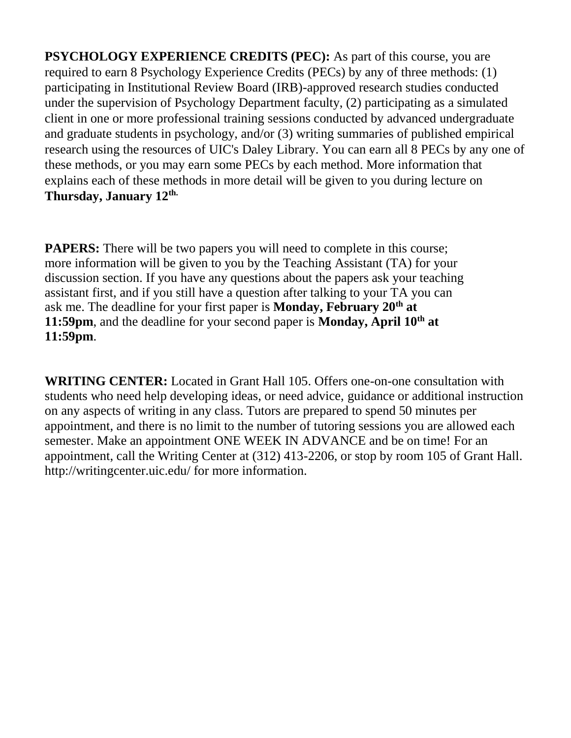**PSYCHOLOGY EXPERIENCE CREDITS (PEC):** As part of this course, you are required to earn 8 Psychology Experience Credits (PECs) by any of three methods: (1) participating in Institutional Review Board (IRB)-approved research studies conducted under the supervision of Psychology Department faculty, (2) participating as a simulated client in one or more professional training sessions conducted by advanced undergraduate and graduate students in psychology, and/or (3) writing summaries of published empirical research using the resources of UIC's Daley Library. You can earn all 8 PECs by any one of these methods, or you may earn some PECs by each method. More information that explains each of these methods in more detail will be given to you during lecture on **Thursday, January 12th.**

**PAPERS:** There will be two papers you will need to complete in this course; more information will be given to you by the Teaching Assistant (TA) for your discussion section. If you have any questions about the papers ask your teaching assistant first, and if you still have a question after talking to your TA you can ask me. The deadline for your first paper is **Monday, February 20th at 11:59pm**, and the deadline for your second paper is **Monday, April 10th at 11:59pm**.

**WRITING CENTER:** Located in Grant Hall 105. Offers one-on-one consultation with students who need help developing ideas, or need advice, guidance or additional instruction on any aspects of writing in any class. Tutors are prepared to spend 50 minutes per appointment, and there is no limit to the number of tutoring sessions you are allowed each semester. Make an appointment ONE WEEK IN ADVANCE and be on time! For an appointment, call the Writing Center at (312) 413-2206, or stop by room 105 of Grant Hall. http://writingcenter.uic.edu/ for more information.